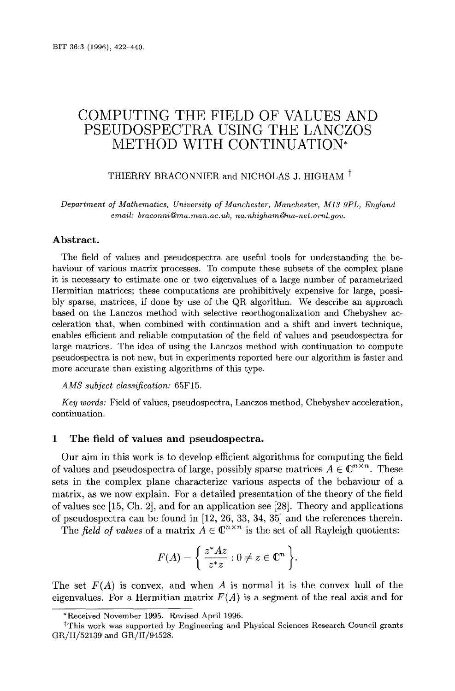# COMPUTING THE FIELD OF VALUES AND PSEUDOSPECTRA USING THE LANCZOS METHOD WITH CONTINUATION\*

# THIERRY BRACONNIER and NICHOLAS J. HIGHAM<sup>t</sup>

Department of Mathematics, University of Manchester, Manchester, M13 9PL, England email: braconni@ma.man.ac.uk, na.nhigham@na-net.ornl.gov.

## Abstract.

The field of values and pseudospectra are useful tools for understanding the behaviour of various matrix processes. To compute these subsets of the complex plane it is necessary to estimate one or two eigenvalues of a large number of parametrized Hermitian matrices; these computations are prohibitively expensive for large, possibly sparse, matrices, if done by use of the QR algorithm. We describe an approach based on the Lanczos method with selective reorthogonalization and Chebyshev acceleration that, when combined with continuation and a shift and invert technique, enables efficient and reliable computation of the field of values and pseudospectra for large matrices . The idea of using the Lanczos method with continuation to compute pseudospectra is not new, but in experiments reported here our algorithm is faster and more accurate than existing algorithms of this type.

#### AMS subject classification: 65F15.

Key words : Field of values, pseudospectra, Lanczos method, Chebyshev acceleration, continuation .

# 1 The field of values and pseudospectra .

Our aim in this work is to develop efficient algorithms for computing the field of values and pseudospectra of large, possibly sparse matrices  $A \in \mathbb{C}^{n \times n}$ . These sets in the complex plane characterize various aspects of the behaviour of a matrix, as we now explain. For a detailed presentation of the theory of the field of values see [15, Ch. 2], and for an application see [28] . Theory and applications of pseudospectra can be found in [12, 26, 33, 34, 35] and the references therein .

The field of values of a matrix  $A \in \mathbb{C}^{n \times n}$  is the set of all Rayleigh quotients:

$$
F(A) = \left\{ \frac{z^* A z}{z^* z} : 0 \neq z \in \mathbb{C}^n \right\}.
$$

The set  $F(A)$  is convex, and when A is normal it is the convex hull of the eigenvalues. For a Hermitian matrix  $F(A)$  is a segment of the real axis and for

<sup>\*</sup>Received November 1995 . Revised April 1996 .

tThis work was supported by Engineering and Physical Sciences Research Council grants GR/H/52139 and GR/H/94528.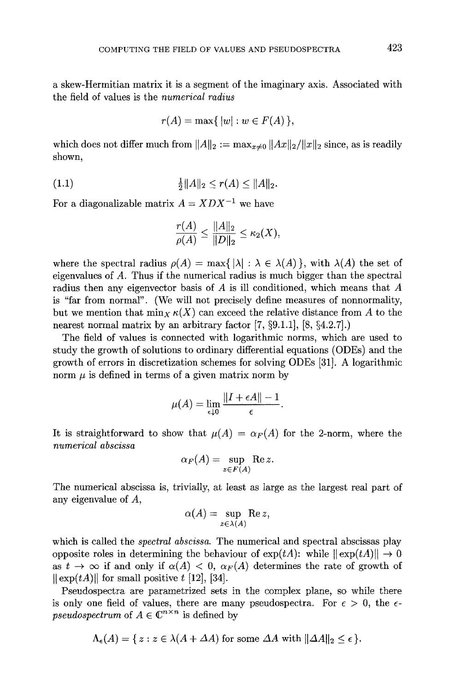a skew-Hermitian matrix it is a segment of the imaginary axis . Associated with the field of values is the numerical radius

$$
r(A) = \max\{|w| : w \in F(A)\},\
$$

which does not differ much from  $||A||_2 := \max_{x \neq 0} ||Ax||_2 / ||x||_2$  since, as is readily shown,

$$
\frac{1}{2}||A||_2 \le r(A) \le ||A||_2.
$$

For a diagonalizable matrix  $A = XDX^{-1}$  we have

$$
\frac{r(A)}{\rho(A)} \le \frac{\|A\|_2}{\|D\|_2} \le \kappa_2(X),
$$

where the spectral radius  $\rho(A) = \max\{ |\lambda| : \lambda \in \lambda(A) \}$ , with  $\lambda(A)$  the set of eigenvalues of A. Thus if the numerical radius is much bigger than the spectral radius then any eigenvector basis of A is ill conditioned, which means that A is "far from normal". (We will not precisely define measures of nonnormality, but we mention that  $\min_X \kappa(X)$  can exceed the relative distance from A to the nearest normal matrix by an arbitrary factor  $[7, \S 9.1.1]$ ,  $[8, \S 4.2.7]$ .

The field of values is connected with logarithmic norms, which are used to study the growth of solutions to ordinary differential equations (ODEs) and the growth of errors in discretization schemes for solving ODEs [31] . A logarithmic norm  $\mu$  is defined in terms of a given matrix norm by

$$
\mu(A) = \lim_{\epsilon \downarrow 0} \frac{\|I + \epsilon A\| - 1}{\epsilon}
$$

It is straightforward to show that  $\mu(A) = \alpha_F(A)$  for the 2-norm, where the numerical abscissa

$$
\alpha_F(A) = \sup_{z \in F(A)} \text{Re } z.
$$

The numerical abscissa is, trivially, at least as large as the largest real part of any eigenvalue of A,

$$
\alpha(A) = \sup_{z \in \lambda(A)} \text{Re } z,
$$

which is called the *spectral abscissa*. The numerical and spectral abscissas play opposite roles in determining the behaviour of  $\exp(tA)$ : while  $\|\exp(tA)\| \to 0$ as  $t \to \infty$  if and only if  $\alpha(A) < 0$ ,  $\alpha_F(A)$  determines the rate of growth of  $\|\exp(tA)\|$  for small positive t [12], [34].

Pseudospectra are parametrized sets in the complex plane, so while there is only one field of values, there are many pseudospectra. For  $\epsilon > 0$ , the  $\epsilon$ pseudospectrum of  $A \in \mathbb{C}^{n \times n}$  is defined by

$$
\Lambda_{\epsilon}(A) = \{ z : z \in \lambda(A + \Delta A) \text{ for some } \Delta A \text{ with } ||\Delta A||_2 \leq \epsilon \}.
$$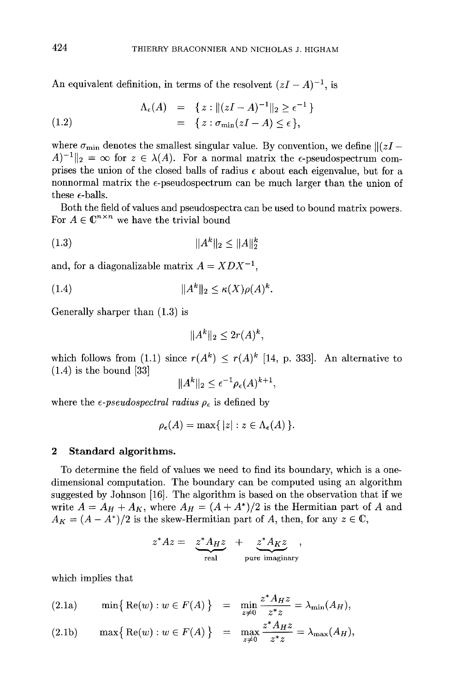$\}$ 

An equivalent definition, in terms of the resolvent  $(zI - A)^{-1}$ , is

(1.2) 
$$
\Lambda_{\epsilon}(A) = \{ z : ||(zI - A)^{-1}||_2 \geq \epsilon^{-1} \leq 1.2 \} = \{ z : \sigma_{\min}(zI - A) \leq \epsilon \},
$$

where  $\sigma_{\min}$  denotes the smallest singular value. By convention, we define  $\|(zI A^{-1}\|_2 = \infty$  for  $z \in \lambda(A)$ . For a normal matrix the e-pseudospectrum comprises the union of the closed balls of radius  $\epsilon$  about each eigenvalue, but for a nonnormal matrix the  $\epsilon$ -pseudospectrum can be much larger than the union of these  $\epsilon$ -balls.

Both the field of values and pseudospectra can be used to bound matrix powers . For  $A \in \mathbb{C}^{n \times n}$  we have the trivial bound

(1 .3) IIAk 112 < IIAII2

and, for a diagonalizable matrix  $A = XDX^{-1}$ ,

$$
(1.4) \t\t\t ||A^k||_2 \le \kappa(X)\rho(A)^k.
$$

Generally sharper than  $(1.3)$  is

$$
||A^k||_2 \leq 2r(A)^k,
$$

which follows from (1.1) since  $r(A^k) \leq r(A)^k$  [14, p. 333]. An alternative to  $(1.4)$  is the bound [33]

$$
||A^k||_2 \leq \epsilon^{-1} \rho_{\epsilon}(A)^{k+1},
$$

where the  $\epsilon$ -pseudospectral radius  $\rho_{\epsilon}$  is defined by

$$
\rho_{\epsilon}(A) = \max\{|z| : z \in \Lambda_{\epsilon}(A)\}.
$$

## 2 Standard algorithms.

To determine the field of values we need to find its boundary, which is a onedimensional computation. The boundary can be computed using an algorithm suggested by Johnson [16]. The algorithm is based on the observation that if we write  $A = A_H + A_K$ , where  $A_H = (A + A^*)/2$  is the Hermitian part of A and  $A_K = (A - A^*)/2$  is the skew-Hermitian part of A, then, for any  $z \in \mathbb{C}$ , 424 THERRY BRACONNER AND NICHOLAS 3<br>
An equivalent definition, in terms of the resolvent  $(zI - A_1(zI - A)^{-1}||_2 \ge \epsilon^{-1})$ <br>  $= \{z : \pi_{\min}(zI - A) \le \epsilon\}$ , where  $\sigma_{\min}$  denotes the smallest singular value. By convertises the union o 144<br>
THERRY BRACONNIER AND NICHOLAS I. HIGHAM<br>
An equivalent definition, in terms of the resolvent  $(zI - A)^{-1}$ , is<br>  $\Lambda_1(A) = \{z : |(I - A)^{-1}|_1 \geq c^{-1}\}$ <br>
(1.2)<br>  $= \{z : (\pi_{\text{min}}(zI - A)^{-1}|_2 \geq c\}$ <br>
where  $\sigma_{\text{min}}$  denotes the am

$$
z^*Az = \underbrace{z^*A_Hz}_{\text{real}} + \underbrace{z^*A_Kz}_{\text{pure imaginary}},
$$

which implies that

(2.1a) 
$$
\min\left\{\operatorname{Re}(w): w \in F(A)\right\} = \min_{z \neq 0} \frac{z^* A_H z}{z^* z} = \lambda_{\min}(A_H),
$$

(2.1b) 
$$
\max\left\{\operatorname{Re}(w): w \in F(A)\right\} = \max_{z \neq 0} \frac{z^* A_H z}{z^* z} = \lambda_{\max}(A_H),
$$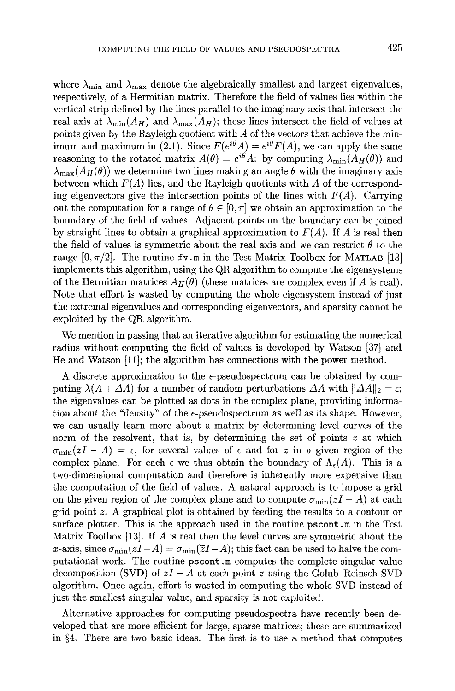where  $\lambda_{\min}$  and  $\lambda_{\max}$  denote the algebraically smallest and largest eigenvalues, respectively, of a Hermitian matrix. Therefore the field of values lies within the vertical strip defined by the lines parallel to the imaginary axis that intersect the real axis at  $\lambda_{\min}(A_H)$  and  $\lambda_{\max}(A_H)$ ; these lines intersect the field of values at points given by the Rayleigh quotient with  $A$  of the vectors that achieve the minimum and maximum in (2.1). Since  $F(e^{i\theta} A) = e^{i\theta} F(A)$ , we can apply the same reasoning to the rotated matrix  $A(\theta) = e^{i\theta} A$ : by computing  $\lambda_{\min}(A_H(\theta))$  and  $\lambda_{\text{max}}(A_H(\theta))$  we determine two lines making an angle  $\theta$  with the imaginary axis between which  $F(A)$  lies, and the Rayleigh quotients with A of the corresponding eigenvectors give the intersection points of the lines with  $F(A)$ . Carrying out the computation for a range of  $\theta \in [0, \pi]$  we obtain an approximation to the boundary of the field of values . Adjacent points on the boundary can be joined by straight lines to obtain a graphical approximation to  $F(A)$ . If A is real then the field of values is symmetric about the real axis and we can restrict  $\theta$  to the range  $[0, \pi/2]$ . The routine fv m in the Test Matrix Toolbox for MATLAB [13] implements this algorithm, using the QR algorithm to compute the eigensystems of the Hermitian matrices  $A_H(\theta)$  (these matrices are complex even if A is real). Note that effort is wasted by computing the whole eigensystem instead of just the extremal eigenvalues and corresponding eigenvectors, and sparsity cannot be exploited by the QR algorithm .

We mention in passing that an iterative algorithm for estimating the numerical radius without computing the field of values is developed by Watson [37] and He and Watson [11]; the algorithm has connections with the power method.

A discrete approximation to the  $\epsilon$ -pseudospectrum can be obtained by computing  $\lambda(A+\Delta A)$  for a number of random perturbations  $\Delta A$  with  $\|\Delta A\|_2 = \epsilon$ ; the eigenvalues can be plotted as dots in the complex plane, providing information about the "density" of the  $\epsilon$ -pseudospectrum as well as its shape. However, we can usually learn more about a matrix by determining level curves of the norm of the resolvent, that is, by determining the set of points  $z$  at which  $\sigma_{\min}(zI - A) = \epsilon$ , for several values of  $\epsilon$  and for z in a given region of the complex plane. For each  $\epsilon$  we thus obtain the boundary of  $\Lambda_{\epsilon}(A)$ . This is a two-dimensional computation and therefore is inherently more expensive than the computation of the field of values . A natural approach is to impose a grid on the given region of the complex plane and to compute  $\sigma_{\min}(zI - A)$  at each grid point z. A graphical plot is obtained by feeding the results to a contour or surface plotter. This is the approach used in the routine pscont  $\mathbf m$  in the Test Matrix Toolbox  $[13]$ . If A is real then the level curves are symmetric about the x-axis, since  $\sigma_{\min}(zI-A) = \sigma_{\min} (\overline{z}I-A)$ ; this fact can be used to halve the computational work . The routine pscont .m computes the complete singular value decomposition (SVD) of  $zI - A$  at each point z using the Golub-Reinsch SVD algorithm. Once again, effort is wasted in computing the whole SVD instead of just the smallest singular value, and sparsity is not exploited .

Alternative approaches for computing pseudospectra have recently been developed that are more efficient for large, sparse matrices ; these are summarized in §4 . There are two basic ideas . The first is to use a method that computes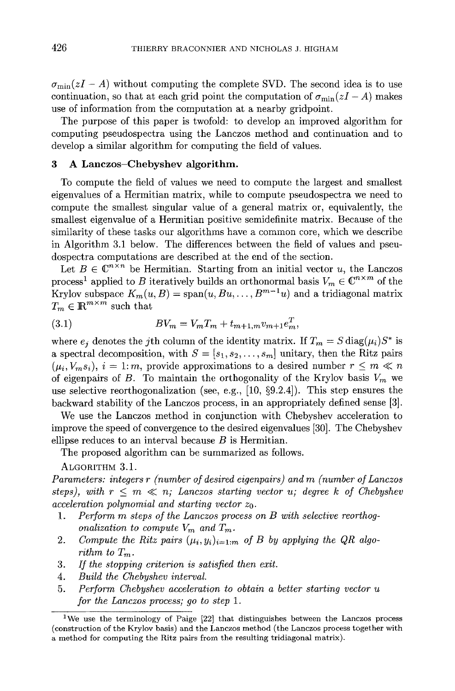$\sigma_{\min}(zI - A)$  without computing the complete SVD. The second idea is to use continuation, so that at each grid point the computation of  $\sigma_{\min}(zI - A)$  makes use of information from the computation at a nearby gridpoint.

The purpose of this paper is twofold: to develop an improved algorithm for computing pseudospectra using the Lanczos method and continuation and to develop a similar algorithm for computing the field of values.

# 3 A Lanczos-Chebyshev algorithm .

To compute the field of values we need to compute the largest and smallest eigenvalues of a Hermitian matrix, while to compute pseudospectra we need to compute the smallest singular value of a general matrix or, equivalently, the smallest eigenvalue of a Hermitian positive semidefinite matrix . Because of the similarity of these tasks our algorithms have a common core, which we describe in Algorithm 3.1 below. The differences between the field of values and pseudospectra computations are described at the end of the section. 426 THIERRY BRACONNIER AND NICHOLAS J.<br>  $\sigma_{\min}(zI - A)$  without computing the complete SVD. The continuation, so that at each grid point the computation<br>
use of information from the computation at a nearby gri<br>
The purpose

Let  $B \in \mathbb{C}^{n \times n}$  be Hermitian. Starting from an initial vector u, the Lanczos process<sup>1</sup> applied to B iteratively builds an orthonormal basis  $V_m \in \mathbb{C}^{n \times m}$  of the Krylov subspace  $K_m(u, B) = \text{span}(u, Bu, \dots, B^{m-1}u)$  and a tridiagonal matrix  $T_m \in \mathbb{R}^{m \times m}$  such that

(3.1) 
$$
BV_m = V_m T_m + t_{m+1,m} v_{m+1} e_m^T,
$$

where  $e_i$  denotes the jth column of the identity matrix. If  $T_m = S \text{diag}(\mu_i) S^*$  is a spectral decomposition, with  $S = [s_1, s_2, \ldots, s_m]$  unitary, then the Ritz pairs  $(\mu_i, V_m s_i), i = 1; m$ , provide approximations to a desired number  $r \le m \ll n$ of eigenpairs of B. To maintain the orthogonality of the Krylov basis  $V_m$  we use selective reorthogonalization (see, e.g.,  $[10, §9.2.4]$ ). This step ensures the backward stability of the Lanczos process, in an appropriately defined sense [3] .

We use the Lanczos method in conjunction with Chebyshev acceleration to improve the speed of convergence to the desired eigenvalues [30] . The Chebyshev ellipse reduces to an interval because  $B$  is Hermitian.

The proposed algorithm can be summarized as follows .

ALGORITHM 3.1 .

Parameters: integers r (number of desired eigenpairs) and m (number of Lanczos steps), with  $r \leq m \ll n$ ; Lanczos starting vector u; degree k of Chebyshev acceleration polynomial and starting vector  $z_0$ .

- 1. Perform m steps of the Lanczos process on B with selective reorthogonalization to compute  $V_m$  and  $T_m$ .
- 2. Compute the Ritz pairs  $(\mu_i, y_i)_{i=1:m}$  of B by applying the QR algorithm to  $T_m$ .
- 3. If the stopping criterion is satisfied then exit.
- 4. Build the Chebyshev interval.
- 5. Perform Chebyshev acceleration to obtain a better starting vector u for the Lanczos process; go to step 1.

<sup>&</sup>lt;sup>1</sup>We use the terminology of Paige  $[22]$  that distinguishes between the Lanczos process (construction of the Krylov basis) and the Lanczos method (the Lanczos process together with a method for computing the Ritz pairs from the resulting tridiagonal matrix) .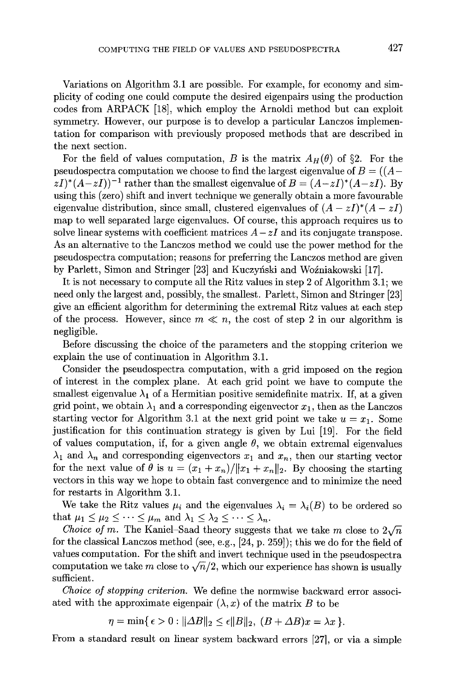Variations on Algorithm 3.1 are possible. For example, for economy and simplicity of coding one could compute the desired eigenpairs using the production codes from ARPACK [18], which employ the Arnoldi method but can exploit symmetry. However, our purpose is to develop a particular Lanczos implementation for comparison with previously proposed methods that are described in the next section.

For the field of values computation, B is the matrix  $A_H(\theta)$  of §2. For the pseudospectra computation we choose to find the largest eigenvalue of  $B = ((A (zI)^*(A-zI)^{-1}$  rather than the smallest eigenvalue of  $B = (A-zI)^*(A-zI)$ . By using this (zero) shift and invert technique we generally obtain a more favourable eigenvalue distribution, since small, clustered eigenvalues of  $(A - zI)^*(A - zI)$ map to well separated large eigenvalues . Of course, this approach requires us to solve linear systems with coefficient matrices  $A - zI$  and its conjugate transpose. As an alternative to the Lanczos method we could use the power method for the pseudospectra computation; reasons for preferring the Lanczos method are given by Parlett, Simon and Stringer [23] and Kuczyński and Woźniakowski [17].

It is not necessary to compute all the Ritz values in step 2 of Algorithm 3 .1 ; we need only the largest and, possibly, the smallest. Parlett, Simon and Stringer [23] give an efficient algorithm for determining the extremal Ritz values at each step of the process. However, since  $m \ll n$ , the cost of step 2 in our algorithm is negligible.

Before discussing the choice of the parameters and the stopping criterion we explain the use of continuation in Algorithm 3.1.

Consider the pseudospectra computation, with a grid imposed on the region of interest in the complex plane. At each grid point we have to compute the smallest eigenvalue  $\lambda_1$  of a Hermitian positive semidefinite matrix. If, at a given grid point, we obtain  $\lambda_1$  and a corresponding eigenvector  $x_1$ , then as the Lanczos starting vector for Algorithm 3.1 at the next grid point we take  $u = x_1$ . Some justification for this continuation strategy is given by Lui [19] . For the field of values computation, if, for a given angle  $\theta$ , we obtain extremal eigenvalues  $\lambda_1$  and  $\lambda_n$  and corresponding eigenvectors  $x_1$  and  $x_n$ , then our starting vector for the next value of  $\theta$  is  $u = (x_1 + x_n)/\|x_1 + x_n\|_2$ . By choosing the starting vectors in this way we hope to obtain fast convergence and to minimize the need for restarts in Algorithm 3.1.

We take the Ritz values  $\mu_i$  and the eigenvalues  $\lambda_i = \lambda_i(B)$  to be ordered so that  $\mu_1 \leq \mu_2 \leq \cdots \leq \mu_m$  and  $\lambda_1 \leq \lambda_2 \leq \cdots \leq \lambda_n$ .

Choice of m. The Kaniel-Saad theory suggests that we take m close to  $2\sqrt{n}$ for the classical Lanczos method (see, e.g.,  $[24, p. 259]$ ); this we do for the field of values computation . For the shift and invert technique used in the pseudospectra computation we take m close to  $\sqrt{n}/2$ , which our experience has shown is usually sufficient.

Choice of stopping criterion. We define the normwise backward error associated with the approximate eigenpair  $(\lambda, x)$  of the matrix B to be

 $\eta = \min\{\epsilon > 0 : ||\Delta B||_2 \leq \epsilon ||B||_2, (B + \Delta B)x = \lambda x \}.$ 

From a standard result on linear system backward errors [271, or via a simple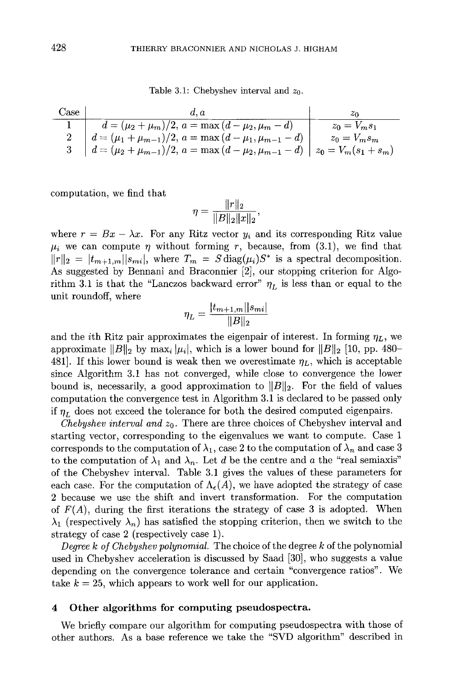Table 3.1: Chebyshev interval and  $z_0$ .

| Case |                                                                                             |                 |
|------|---------------------------------------------------------------------------------------------|-----------------|
|      | $d = (\mu_2 + \mu_m)/2, a = \max(d - \mu_2, \mu_m - d)$                                     | $z_0 = V_m s_1$ |
|      | $d = (\mu_1 + \mu_{m-1})/2, a = \max(d - \mu_1, \mu_{m-1} - d)$                             | $z_0 = V_m s_m$ |
|      | 3 $d = (\mu_2 + \mu_{m-1})/2$ , $a = \max(d - \mu_2, \mu_{m-1} - d)$ $z_0 = V_m(s_1 + s_m)$ |                 |

computation, we find that

$$
\eta = \frac{\|r\|_2}{\|B\|_2 \|x\|_2},
$$

where  $r = Bx - \lambda x$ . For any Ritz vector  $y_i$  and its corresponding Ritz value  $\mu_i$  we can compute  $\eta$  without forming r, because, from (3.1), we find that  $||r||_2 = |t_{m+1,m}||s_{mi}|$ , where  $T_m = S \text{diag}(\mu_i)S^*$  is a spectral decomposition. As suggested by Bennani and Braconnier [2], our stopping criterion for Algorithm 3.1 is that the "Lanczos backward error"  $\eta_L$  is less than or equal to the unit roundoff, where

$$
\eta_L = \frac{|t_{m+1,m}||s_{mi}|}{||B||_2}
$$

and the *i*th Ritz pair approximates the eigenpair of interest. In forming  $\eta_L$ , we approximate  $||B||_2$  by max<sub>i</sub>  $|\mu_i|$ , which is a lower bound for  $||B||_2$  [10, pp. 480-481]. If this lower bound is weak then we overestimate  $\eta_L$ , which is acceptable since Algorithm 3.1 has not converged, while close to convergence the lower bound is, necessarily, a good approximation to  $||B||_2$ . For the field of values computation the convergence test in Algorithm 3 .1 is declared to be passed only if  $\eta_L$  does not exceed the tolerance for both the desired computed eigenpairs.

Chebyshev interval and  $z_0$ . There are three choices of Chebyshev interval and starting vector, corresponding to the eigenvalues we want to compute. Case 1 corresponds to the computation of  $\lambda_1$ , case 2 to the computation of  $\lambda_n$  and case 3 to the computation of  $\lambda_1$  and  $\lambda_n$ . Let d be the centre and a the "real semiaxis" of the Chebyshev interval. Table 3.1 gives the values of these parameters for each case. For the computation of  $\Lambda_{\epsilon}(A)$ , we have adopted the strategy of case 2 because we use the shift and invert transformation . For the computation of  $F(A)$ , during the first iterations the strategy of case 3 is adopted. When  $\lambda_1$  (respectively  $\lambda_n$ ) has satisfied the stopping criterion, then we switch to the strategy of case 2 (respectively case 1) .

Degree  $k$  of Chebyshev polynomial. The choice of the degree  $k$  of the polynomial used in Chebyshev acceleration is discussed by Saad [30], who suggests a value depending on the convergence tolerance and certain "convergence ratios" . We take  $k = 25$ , which appears to work well for our application.

#### 4 Other algorithms for computing pseudospectra .

We briefly compare our algorithm for computing pseudospectra with those of other authors . As a base reference we take the "SVD algorithm" described in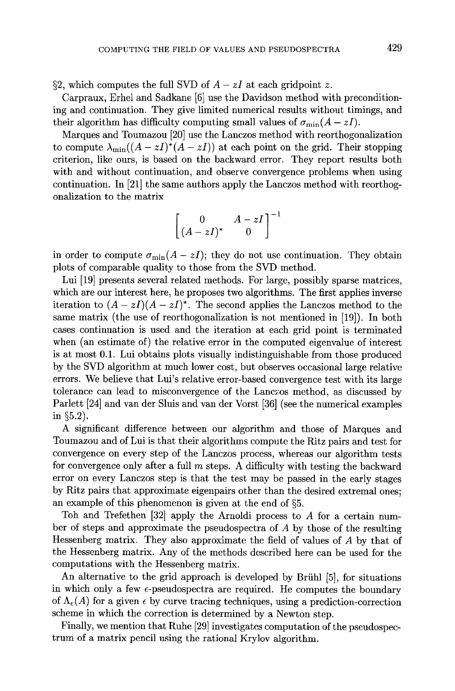§2, which computes the full SVD of  $A - zI$  at each gridpoint z.

Carpraux, Erhel and Sadkane [6] use the Davidson method with preconditioning and continuation . They give limited numerical results without timings, and their algorithm has difficulty computing small values of  $\sigma_{\min}(A - zI)$ .

Marques and Toumazou [20] use the Lanczos method with reorthogonalization to compute  $\lambda_{\min}((A-zI)^*(A-zI))$  at each point on the grid. Their stopping criterion, like ours, is based on the backward error . They report results both with and without continuation, and observe convergence problems when using continuation . In [21] the same authors apply the Lanczos method with reorthogonalization to the matrix

$$
\begin{bmatrix} 0 & A - zI \\ (A - zI)^* & 0 \end{bmatrix}^{-1}
$$

in order to compute  $\sigma_{\min}(A - zI)$ ; they do not use continuation. They obtain plots of comparable quality to those from the SVD method.

Lui [19] presents several related methods . For large, possibly sparse matrices, which are our interest here, he proposes two algorithms. The first applies inverse iteration to  $(A - zI)(A - zI)^*$ . The second applies the Lanczos method to the same matrix (the use of reorthogonalization is not mentioned in [19]) . In both cases continuation is used and the iteration at each grid point is terminated when (an estimate of) the relative error in the computed eigenvalue of interest is at most 0.1. Lui obtains plots visually indistinguishable from those produced by the SVD algorithm at much lower cost, but observes occasional large relative errors. We believe that Lui's relative error-based convergence test with its large tolerance can lead to misconvergence of the Lanczos method, as discussed by Parlett [24] and van der Sluis and van der Vorst [36] (see the numerical examples in  $\S5.2$ ).

A significant difference between our algorithm and those of Marques and Toumazou and of Lui is that their algorithms compute the Ritz pairs and test for convergence on every step of the Lanczos process, whereas our algorithm tests for convergence only after a full m steps . A difficulty with testing the backward error on every Lanczos step is that the test may be passed in the early stages by Ritz pairs that approximate eigenpairs other than the desired extremal ones ; an example of this phenomenon is given at the end of §5.

Toh and Trefethen [32] apply the Arnoldi process to A for a certain number of steps and approximate the pseudospectra of A by those of the resulting Hessenberg matrix. They also approximate the field of values of  $A$  by that of the Hessenberg matrix. Any of the methods described here can be used for the computations with the Hessenberg matrix.

An alternative to the grid approach is developed by Briihl [5], for situations in which only a few  $\epsilon$ -pseudospectra are required. He computes the boundary of  $\Lambda_{\epsilon}(A)$  for a given  $\epsilon$  by curve tracing techniques, using a prediction-correction scheme in which the correction is determined by a Newton step.

Finally, we mention that Ruhe [29] investigates computation of the pseudospectrum of a matrix pencil using the rational Krylov algorithm .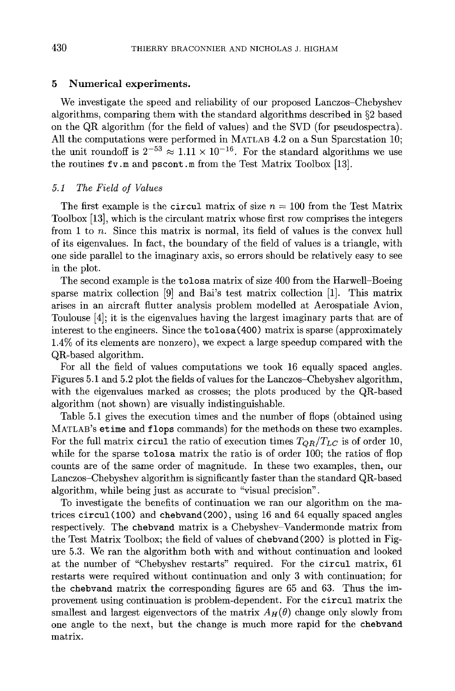# 5 Numerical experiments.

We investigate the speed and reliability of our proposed Lanczos-Chebyshev algorithms, comparing them with the standard algorithms described in §2 based on the QR algorithm (for the field of values) and the SVD (for pseudospectra) . All the computations were performed in MATLAB 4.2 on a Sun Sparcstation 10; the unit roundoff is  $2^{-53} \approx 1.11 \times 10^{-16}$ . For the standard algorithms we use the routines  $f v$ .m and pscont.m from the Test Matrix Toolbox [13].

# 5.1 The Field of Values

The first example is the circul matrix of size  $n = 100$  from the Test Matrix Toolbox [13], which is the circulant matrix whose first row comprises the integers from 1 to n. Since this matrix is normal, its field of values is the convex hull of its eigenvalues . In fact, the boundary of the field of values is a triangle, with one side parallel to the imaginary axis, so errors should be relatively easy to see in the plot.

The second example is the tolosa matrix of size 400 from the Harwell-Boeing sparse matrix collection  $[9]$  and Bai's test matrix collection  $[1]$ . This matrix arises in an aircraft flutter analysis problem modelled at Aerospatiale Avion, Toulouse [4]; it is the eigenvalues having the largest imaginary parts that are of interest to the engineers . Since the tolosa(400) matrix is sparse (approximately <sup>1</sup> .4% of its elements are nonzero), we expect a large speedup compared with the QR-based algorithm .

For all the field of values computations we took 16 equally spaced angles. Figures 5 .1 and 5 .2 plot the fields of values for the Lanczos-Chebyshev algorithm, with the eigenvalues marked as crosses; the plots produced by the QR-based algorithm (not shown) are visually indistinguishable .

Table 5 .1 gives the execution times and the number of flops (obtained using MATLAB's etime and flops commands) for the methods on these two examples . For the full matrix circul the ratio of execution times  $T_{QR}/T_{LC}$  is of order 10, while for the sparse tolosa matrix the ratio is of order 100; the ratios of flop counts are of the same order of magnitude . In these two examples, then, our Lanczos-Chebyshev algorithm is significantly faster than the standard QR-based algorithm, while being just as accurate to "visual precision" .

To investigate the benefits of continuation we ran our algorithm on the matrices circul(100) and chebvand(200), using 16 and 64 equally spaced angles respectively . The chebvand matrix is a Chebyshev-Vandermonde matrix from the Test Matrix Toolbox; the field of values of chebvand(200) is plotted in Figure 5 .3 . We ran the algorithm both with and without continuation and looked at the number of "Chebyshev restarts" required. For the circul matrix, 61 restarts were required without continuation and only 3 with continuation ; for the chebvand matrix the corresponding figures are 65 and 63. Thus the improvement using continuation is problem-dependent. For the circul matrix the smallest and largest eigenvectors of the matrix  $A_H(\theta)$  change only slowly from one angle to the next, but the change is much more rapid for the chebvand matrix.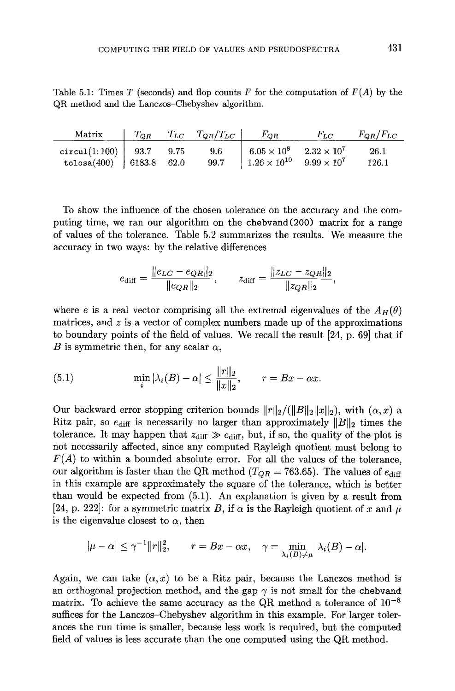Table 5.1: Times T (seconds) and flop counts F for the computation of  $F(A)$  by the QR method and the Lanczos-Chebyshev algorithm.

| Matrix                                                                    |  | $\begin{array}{ccc} \mid & T_{QR} & T_{LC} & T_{QR}/T_{LC} \mid & F_{QR} \end{array}$ |                                       | $F_{LC}$ $F_{QR}/F_{LC}$ |
|---------------------------------------------------------------------------|--|---------------------------------------------------------------------------------------|---------------------------------------|--------------------------|
| $\texttt{circular}(1:100)$   93.7 9.75                                    |  | 9.6                                                                                   | $6.05 \times 10^8$ $2.32 \times 10^7$ | 26.1                     |
| tolosa(400)   6183.8 62.0 99.7   $1.26 \times 10^{10}$ 9.99 $\times 10^7$ |  |                                                                                       |                                       | 126.1                    |

To show the influence of the chosen tolerance on the accuracy and the computing time, we ran our algorithm on the chebvand(200) matrix for a range of values of the tolerance . Table 5 .2 summarizes the results. We measure the accuracy in two ways: by the relative differences

$$
e_{\text{diff}} = \frac{\|e_{LC} - e_{QR}\|_2}{\|e_{QR}\|_2}, \qquad z_{\text{diff}} = \frac{\|z_{LC} - z_{QR}\|_2}{\|z_{QR}\|_2},
$$

where e is a real vector comprising all the extremal eigenvalues of the  $A_H(\theta)$ matrices, and  $z$  is a vector of complex numbers made up of the approximations to boundary points of the field of values. We recall the result [24, p. 69] that if B is symmetric then, for any scalar  $\alpha$ ,

(5.1) 
$$
\min_{i} |\lambda_{i}(B) - \alpha| \le \frac{\|r\|_{2}}{\|x\|_{2}}, \qquad r = Bx - \alpha x.
$$

Our backward error stopping criterion bounds  $||r||_2/(||B||_2||x||_2)$ , with  $(\alpha, x)$  a Ritz pair, so  $e_{\text{diff}}$  is necessarily no larger than approximately  $||B||_2$  times the tolerance. It may happen that  $z_{\text{diff}} \gg e_{\text{diff}}$ , but, if so, the quality of the plot is not necessarily affected, since any computed Rayleigh quotient must belong to  $F(A)$  to within a bounded absolute error. For all the values of the tolerance, our algorithm is faster than the QR method ( $T_{QR} = 763.65$ ). The values of  $e_{diff}$ in this example are approximately the square of the tolerance, which is better than would be expected from  $(5.1)$ . An explanation is given by a result from [24, p. 222]: for a symmetric matrix B, if  $\alpha$  is the Rayleigh quotient of x and  $\mu$ is the eigenvalue closest to  $\alpha$ , then

$$
|\mu - \alpha| \le \gamma^{-1} ||r||_2^2, \qquad r = Bx - \alpha x, \quad \gamma = \min_{\lambda_i(B) \ne \mu} |\lambda_i(B) - \alpha|.
$$

Again, we can take  $(\alpha, x)$  to be a Ritz pair, because the Lanczos method is an orthogonal projection method, and the gap  $\gamma$  is not small for the chebvand matrix. To achieve the same accuracy as the QR method a tolerance of  $10^{-8}$ suffices for the Lanczos-Chebyshev algorithm in this example. For larger tolerances the run time is smaller, because less work is required, but the computed field of values is less accurate than the one computed using the QR method.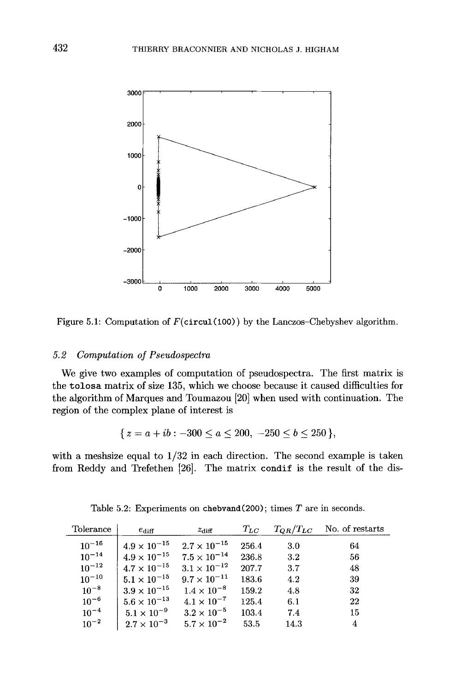

Figure 5.1: Computation of  $F$ (circul(100)) by the Lanczos-Chebyshev algorithm.

# 5.2 Computation of Pseudospectra

We give two examples of computation of pseudospectra. The first matrix is the tolosa matrix of size 135, which we choose because it caused difficulties for the algorithm of Marques and Toumazou [20] when used with continuation . The region of the complex plane of interest is

$$
\{ z = a + ib : -300 \le a \le 200, -250 \le b \le 250 \},\
$$

with a meshsize equal to  $1/32$  in each direction. The second example is taken from Reddy and Trefethen [26]. The matrix condif is the result of the dis-

| Tolerance  | $e_{\rm diff}$        | $z_{\rm diff}$        | $T_{LC}$ | $T_{QR}/T_{LC}$ | No. of restarts |
|------------|-----------------------|-----------------------|----------|-----------------|-----------------|
| $10^{-16}$ | $4.9 \times 10^{-15}$ | $2.7 \times 10^{-15}$ | 256.4    | 3.0             | 64              |
| $10^{-14}$ | $4.9\times10^{-15}$   | $7.5 \times 10^{-14}$ | 236.8    | 3.2             | 56              |
| $10^{-12}$ | $4.7 \times 10^{-15}$ | $3.1 \times 10^{-12}$ | 207.7    | 3.7             | 48              |
| $10^{-10}$ | $5.1\times10^{-15}$   | $9.7 \times 10^{-11}$ | 183.6    | 4.2             | -39             |
| $10^{-8}$  | $3.9 \times 10^{-15}$ | $1.4 \times 10^{-8}$  | 159.2    | 4.8             | -32             |
| $10^{-6}$  | $5.6 \times 10^{-13}$ | $4.1 \times 10^{-7}$  | 125.4    | 6.1             | 22              |
| $10^{-4}$  | $5.1\times10^{-9}$    | $3.2 \times 10^{-5}$  | 103.4    | 7.4             | 15              |
| $10^{-2}$  | $2.7 \times 10^{-3}$  | $5.7 \times 10^{-2}$  | 53.5     | 14.3            | 4               |

Table 5.2: Experiments on chebvand(200); times  $T$  are in seconds.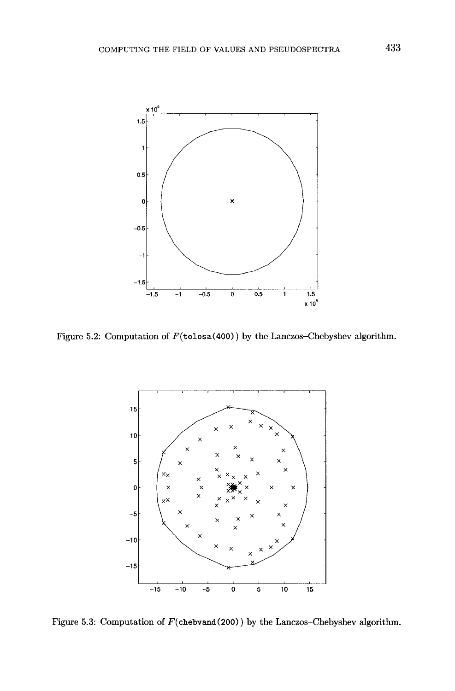

Figure 5.2: Computation of  $F(\text{tolosa}(400))$  by the Lanczos-Chebyshev algorithm.



Figure 5.3: Computation of  $F(\text{chebrand}(200))$  by the Lanczos-Chebyshev algorithm.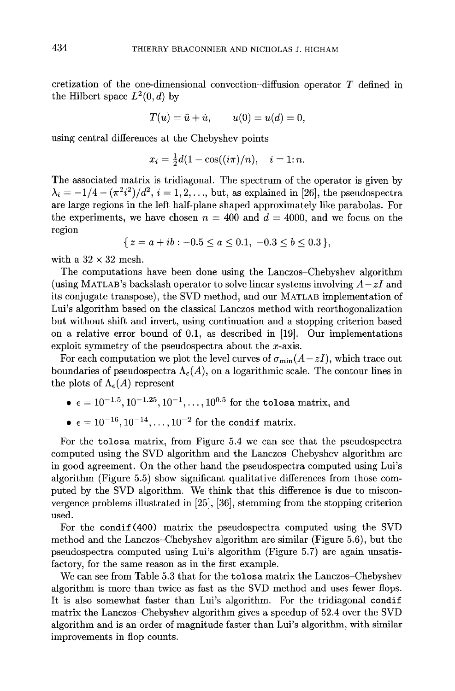cretization of the one-dimensional convection-diffusion operator T defined in the Hilbert space  $L^2(0, d)$  by

$$
T(u) = \ddot{u} + \dot{u}, \qquad u(0) = u(d) = 0,
$$

using central differences at the Chebyshev points

$$
x_i = \frac{1}{2}d(1 - \cos((i\pi)/n), \quad i = 1; n.
$$

The associated matrix is tridiagonal. The spectrum of the operator is given by  $\lambda_i = -1/4 - (\pi^2 i^2)/d^2$ ,  $i = 1, 2, \ldots$ , but, as explained in [26], the pseudospectra are large regions in the left half-plane shaped approximately like parabolas . For the experiments, we have chosen  $n = 400$  and  $d = 4000$ , and we focus on the region

$$
\{ z = a + ib : -0.5 \le a \le 0.1, -0.3 \le b \le 0.3 \},\
$$

with a  $32 \times 32$  mesh.

The computations have been done using the Lanczos-Chebyshev algorithm (using MATLAB's backslash operator to solve linear systems involving  $A-zI$  and its conjugate transpose), the SVD method, and our MATLAB implementation of Lui's algorithm based on the classical Lanczos method with reorthogonalization but without shift and invert, using continuation and a stopping criterion based on a relative error bound of 0.1, as described in  $[19]$ . Our implementations exploit symmetry of the pseudospectra about the  $x$ -axis.

For each computation we plot the level curves of  $\sigma_{\min}(A-zI)$ , which trace out boundaries of pseudospectra  $\Lambda_{\epsilon}(A)$ , on a logarithmic scale. The contour lines in the plots of  $\Lambda_{\epsilon}(A)$  represent

- $\bullet \ \epsilon = 10^{-1.5}, 10^{-1.25}, 10^{-1}, \ldots, 10^{0.5}$  for the tolosa matrix, and
- $\epsilon = 10^{-16}, 10^{-14}, \dots, 10^{-2}$  for the condif matrix.

For the tolosa matrix, from Figure 5.4 we can see that the pseudospectra computed using the SVD algorithm and the Lanczos-Chebyshev algorithm are in good agreement . On the other hand the pseudospectra computed using Lui's algorithm (Figure 5 .5) show significant qualitative differences from those computed by the SVD algorithm. We think that this difference is due to misconvergence problems illustrated in [25], [36], stemming from the stopping criterion used.

For the condif (400) matrix the pseudospectra computed using the SVD method and the Lanczos-Chebyshev algorithm are similar (Figure 5 .6), but the pseudospectra computed using Lui's algorithm (Figure 5 .7) are again unsatisfactory, for the same reason as in the first example.

We can see from Table 5.3 that for the tolosa matrix the Lanczos-Chebyshev algorithm is more than twice as fast as the SVD method and uses fewer flops . It is also somewhat faster than Lui's algorithm. For the tridiagonal condif matrix the Lanczos-Chebyshev algorithm gives a speedup of 52 .4 over the SVD algorithm and is an order of magnitude faster than Lui's algorithm, with similar improvements in flop counts .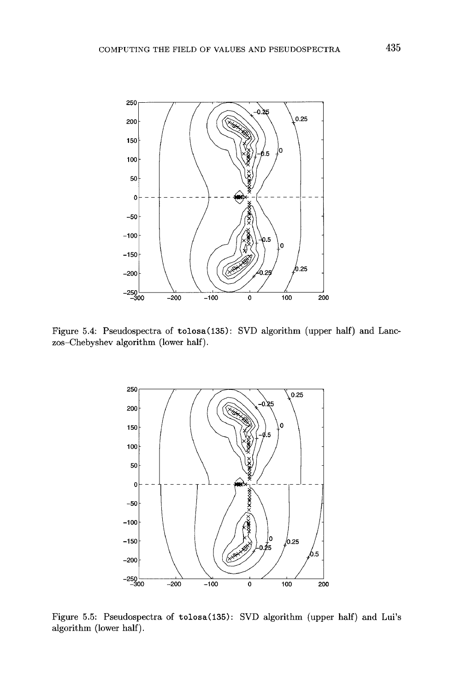

Figure 5.4: Pseudospectra of tolosa(135): SVD algorithm (upper half) and Lanczos-Chebyshev algorithm (lower half) .



Figure 5.5: Pseudospectra of tolosa(135): SVD algorithm (upper half) and Lui's algorithm (lower half).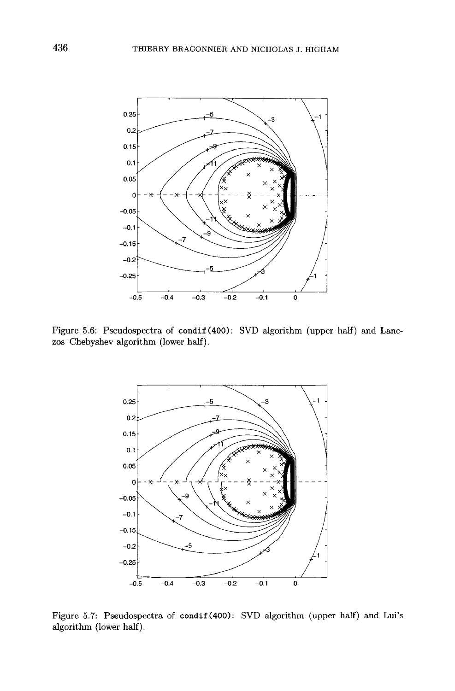

Figure 5.6: Pseudospectra of condif (400): SVD algorithm (upper half) and Lanczos-Chebyshev algorithm (lower half) .



Figure 5.7: Pseudospectra of condif (400): SVD algorithm (upper half) and Lui's algorithm (lower half).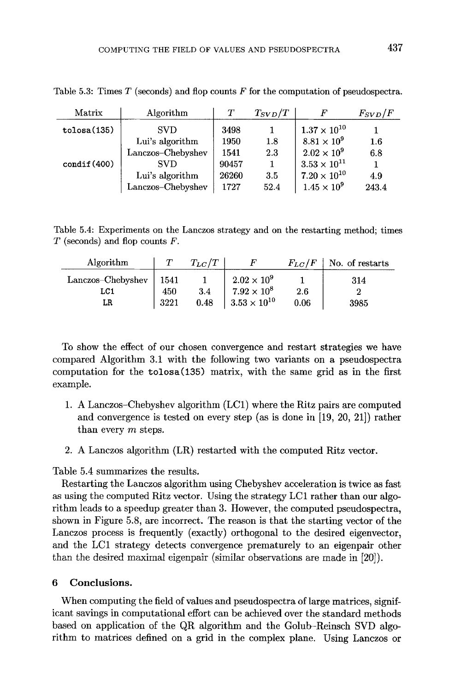| Matrix      | Algorithm         | Т     | $T_{SVD}/T$ |                       | $F_{SVD}/F$ |
|-------------|-------------------|-------|-------------|-----------------------|-------------|
| tolosa(135) | <b>SVD</b>        | 3498  |             | $1.37 \times 10^{10}$ |             |
|             | Lui's algorithm   | 1950  | 1.8         | $8.81 \times 10^9$    | $1.6\,$     |
|             | Lanczos-Chebyshev | 1541  | 2.3         | $2.02 \times 10^9$    | 6.8         |
| condif(400) | <b>SVD</b>        | 90457 |             | $3.53 \times 10^{11}$ |             |
|             | Lui's algorithm   | 26260 | 3.5         | $7.20 \times 10^{10}$ | 4.9         |
|             | Lanczos-Chebyshev | 1727  | 52.4        | $1.45 \times 10^{9}$  | 243.4       |

Table 5.3: Times  $T$  (seconds) and flop counts  $F$  for the computation of pseudospectra.

Table 5.4: Experiments on the Lanczos strategy and on the restarting method; times  $T$  (seconds) and flop counts  $F$ .

| Algorithm                      |                     | $T_{LC}/T$  |                                                                   | $F_{LC}/F$  | No. of restarts |
|--------------------------------|---------------------|-------------|-------------------------------------------------------------------|-------------|-----------------|
| Lanczos–Chebyshev<br>LC1<br>LR | 1541<br>450<br>3221 | 3.4<br>0.48 | $2.02 \times 10^{9}$<br>$7.92 \times 10^8$<br>$3.53\times10^{10}$ | 2.6<br>0.06 | 314<br>3985     |

To show the effect of our chosen convergence and restart strategies we have compared Algorithm 3.1 with the following two variants on a pseudospectra computation for the  $tolosa(135)$  matrix, with the same grid as in the first example.

- 1 . A Lanczos-Chebyshev algorithm (LC1) where the Ritz pairs are computed and convergence is tested on every step (as is done in [19, 20, 21]) rather than every  $m$  steps.
- 2 . A Lanczos algorithm (LR) restarted with the computed Ritz vector .

Table 5 .4 summarizes the results.

Restarting the Lanczos algorithm using Chebyshev acceleration is twice as fast as using the computed Ritz vector. Using the strategy LC1 rather than our algorithm leads to a speedup greater than 3. However, the computed pseudospectra, shown in Figure 5.8, are incorrect. The reason is that the starting vector of the Lanczos process is frequently (exactly) orthogonal to the desired eigenvector, and the LC1 strategy detects convergence prematurely to an eigenpair other than the desired maximal eigenpair (similar observations are made in [20]) .

## 6 Conclusions.

When computing the field of values and pseudospectra of large matrices, significant savings in computational effort can be achieved over the standard methods based on application of the QR algorithm and the Golub-Reinsch SVD algorithm to matrices defined on a grid in the complex plane. Using Lanczos or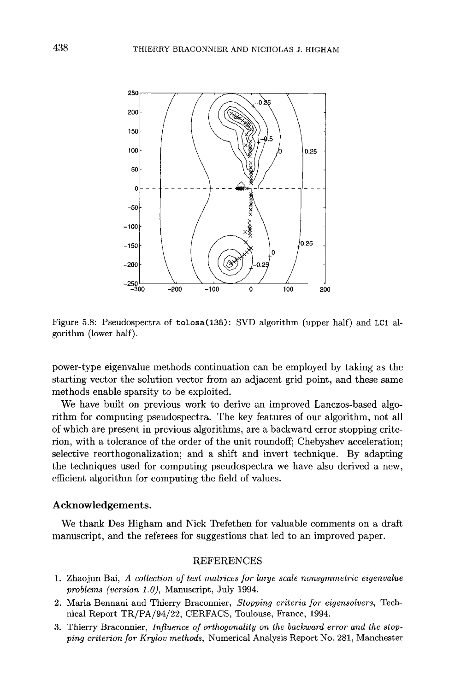

Figure 5 .8 : Pseudospectra of tolosa(135) : SVD algorithm (upper half) and LC1 algorithm (lower half) .

power-type eigenvalue methods continuation can be employed by taking as the starting vector the solution vector from an adjacent grid point, and these same methods enable sparsity to be exploited.

We have built on previous work to derive an improved Lanczos-based algorithm for computing pseudospectra . The key features of our algorithm, not all of which are present in previous algorithms, are a backward error stopping criterion, with a tolerance of the order of the unit roundoff; Chebyshev acceleration; selective reorthogonalization; and a shift and invert technique. By adapting the techniques used for computing pseudospectra we have also derived a new, efficient algorithm for computing the field of values.

#### Acknowledgements .

We thank Des Higham and Nick Trefethen for valuable comments on a draft manuscript, and the referees for suggestions that led to an improved paper .

## REFERENCES

- <sup>1</sup> . Zhaojun Bai, A collection of test matrices for large scale nonsymmetric eigenvalue problems (version  $1.0$ ), Manuscript, July 1994.
- <sup>2</sup> . Maria Bennani and Thierry Braconnier, Stopping criteria for eigensolvers, Technical Report TR/PA/94/22, CERFACS, Toulouse, France, 1994 .
- 3 . Thierry Braconnier, Influence of orthogonality on the backward error and the stopping criterion for Krylov methods, Numerical Analysis Report No . 281, Manchester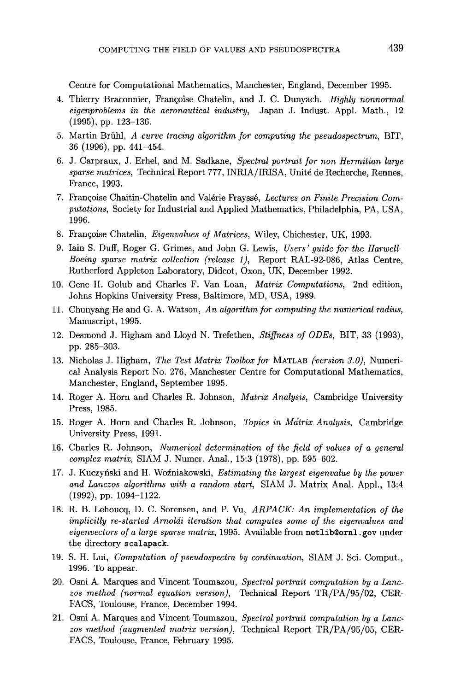Centre for Computational Mathematics, Manchester, England, December 1995 .

- 4. Thierry Braconnier, Françoise Chatelin, and J. C. Dunyach. *Highly nonnormal* eigenproblems in the aeronautical industry, Japan J. Indust. Appl. Math., 12  $(1995)$ , pp.  $123-136$ .
- 5 . Martin Briihl, A curve tracing algorithm for computing the pseudospectrum, BIT,  $36$  (1996), pp. 441–454.
- 6. J. Carpraux, J. Erhel, and M. Sadkane, Spectral portrait for non Hermitian large sparse matrices, Technical Report 777, INRIA/IRISA, Unite de Recherche, Rennes, France, 1993 .
- 7 . Frangoise Chaitin-Chatelin and Valerie Fraysse, Lectures on Finite Precision Computations, Society for Industrial and Applied Mathematics, Philadelphia, PA, USA, 1996.
- 8. Françoise Chatelin, *Eigenvalues of Matrices*, Wiley, Chichester, UK, 1993.
- 9. Iain S. Duff, Roger G. Grimes, and John G. Lewis, Users' quide for the Harwell-Boeing sparse matrix collection (release 1), Report RAL-92-086, Atlas Centre, Rutherford Appleton Laboratory, Didcot, Oxon, UK, December 1992 .
- 10. Gene H. Golub and Charles F. Van Loan, Matrix Computations, 2nd edition, Johns Hopkins University Press, Baltimore, MD, USA, 1989 .
- 11. Chunyang He and G. A. Watson, An algorithm for computing the numerical radius, Manuscript, 1995.
- 12. Desmond J. Higham and Lloyd N. Trefethen, *Stiffness of ODEs*, BIT, 33 (1993), pp. 285-303.
- 13. Nicholas J. Higham, The Test Matrix Toolbox for MATLAB (version 3.0), Numerical Analysis Report No. 276, Manchester Centre for Computational Mathematics, Manchester, England, September 1995 .
- 14. Roger A. Horn and Charles R. Johnson, *Matrix Analysis*, Cambridge University Press, 1985.
- 15. Roger A. Horn and Charles R. Johnson, Topics in Matrix Analysis, Cambridge University Press, 1991.
- 16. Charles R. Johnson, Numerical determination of the field of values of a general complex matrix, SIAM J. Numer. Anal., 15:3 (1978), pp. 595–602.
- 17. J. Kuczyński and H. Woźniakowski, Estimating the largest eigenvalue by the power and Lanczos algorithms with a random start, SIAM J. Matrix Anal. Appl., 13:4  $(1992)$ , pp.  $1094-1122$ .
- 18. R. B. Lehoucq, D. C. Sorensen, and P. Vu, ARPACK: An implementation of the implicitly re-started Arnoldi iteration that computes some of the eigenvalues and eigenvectors of a large sparse matrix, 1995. Available from netlib@ornl.gov under the directory scalapack .
- 19. S. H. Lui, *Computation of pseudospectra by continuation*, SIAM J. Sci. Comput., 1996. To appear.
- 20. Osni A. Marques and Vincent Toumazou, Spectral portrait computation by a Lanezos method (normal equation version), Technical Report TR/PA/95/02, CER-FACS, Toulouse, France, December 1994.
- 21. Osni A. Marques and Vincent Toumazou, Spectral portrait computation by a Lanczos method (augmented matrix version), Technical Report TR/PA/95/05, CER-FACS, Toulouse, France, February 1995 .